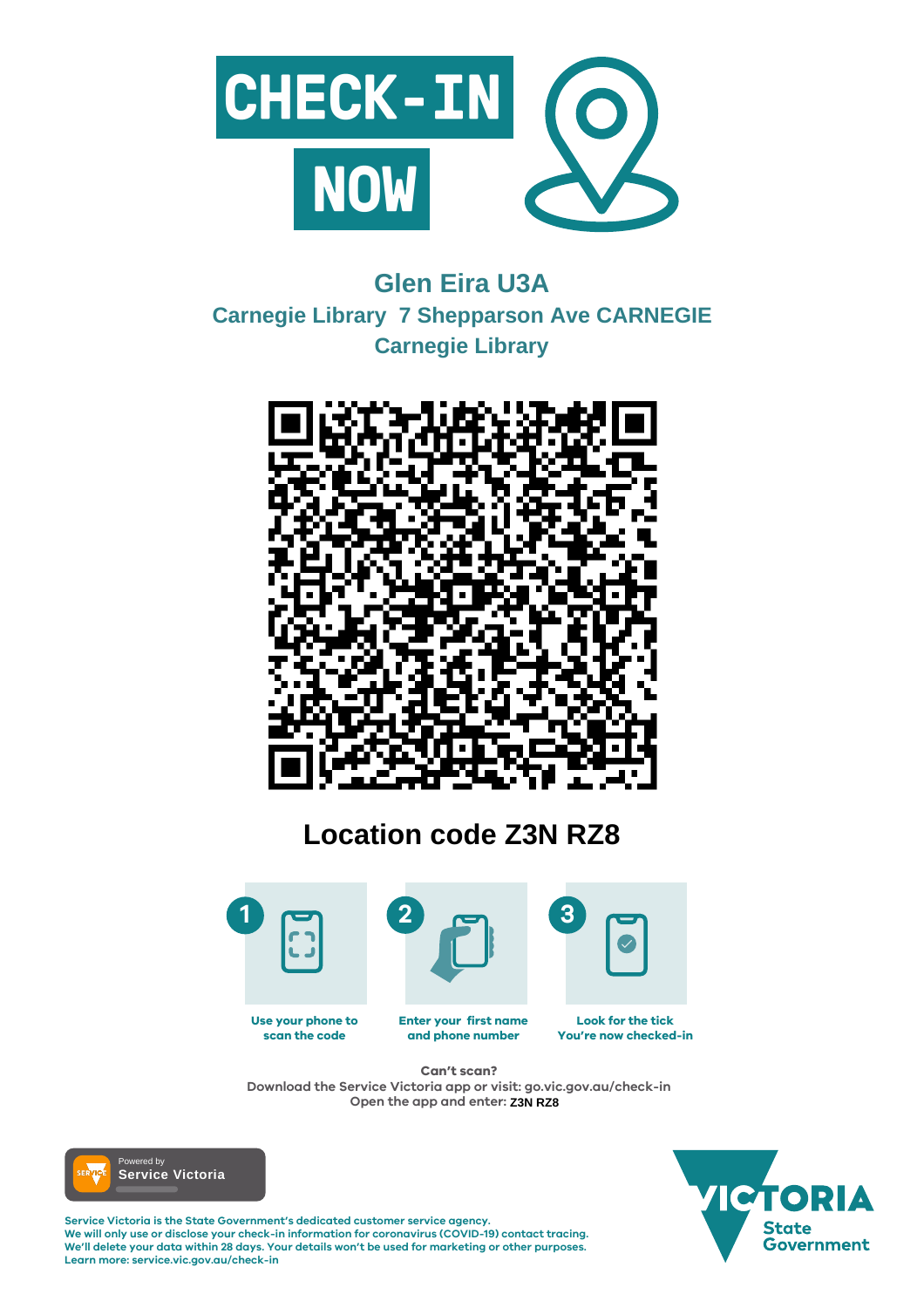

#### **Enter your first name and phone number Look for the tick You're now checked-in Use your phone to scan the code**

**Service Victoria is the State Government's dedicated customer service agency. We will only use or disclose your check-in information for coronavirus (COVID-19) contact tracing. We'll delete your data within 28 days. Your details won't be used for marketing or other purposes. Learn more: service.vic.gov.au/check-in**





## **Can't scan?**

**Download the Service Victoria app or visit: go.vic.gov.au/check-in Open the app and enter: Z3N RZ8**



# **Glen Eira U3A Carnegie Library 7 Shepparson Ave CARNEGIE Carnegie Library**



# **Location code Z3N RZ8**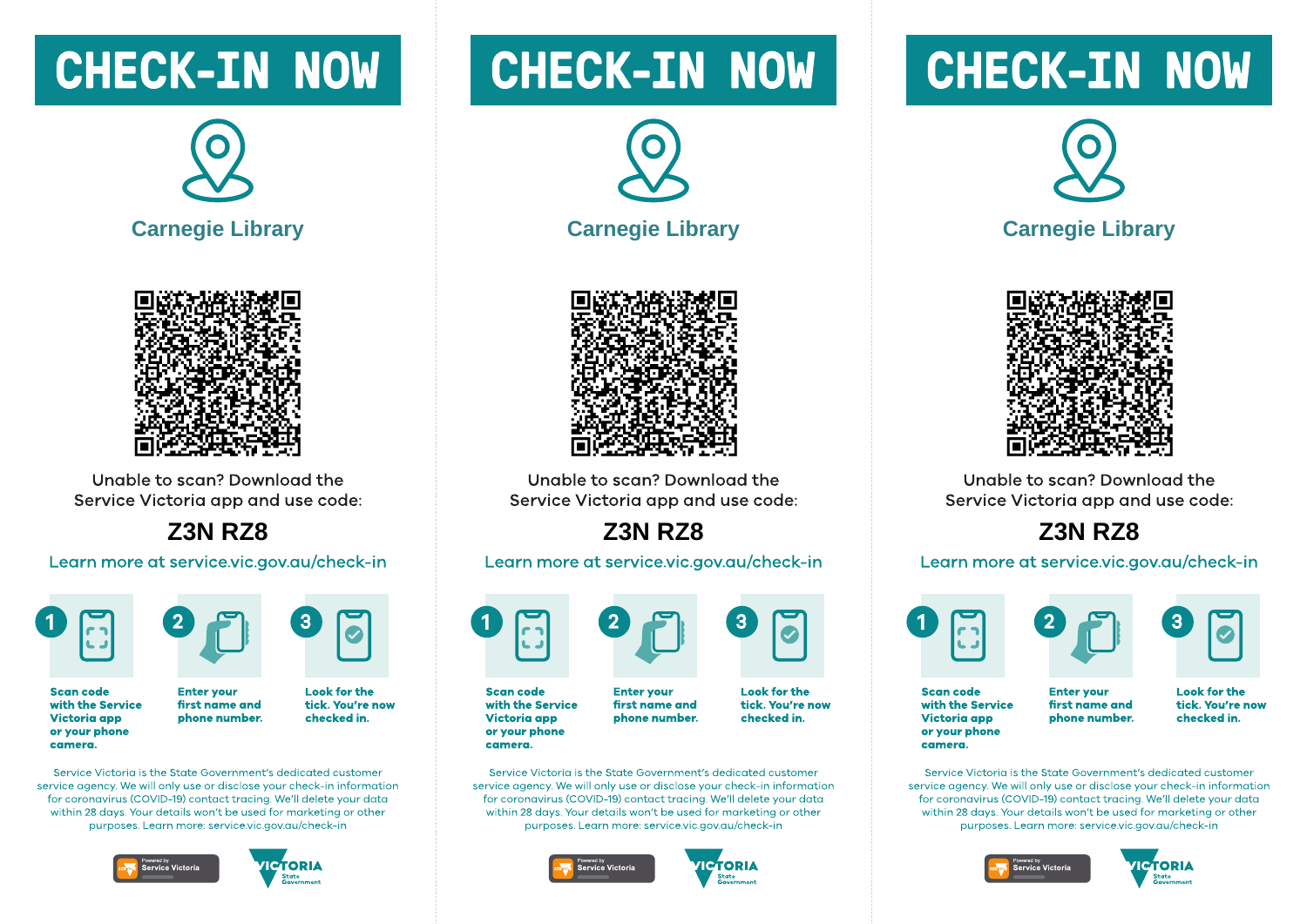# **CHECK-IN NOW**





Unable to scan? Download the Service Victoria app and use code:

**Z3N RZ8** 

Learn more at service.vic.gov.au/check-in





**Scan code** with the Service **Victoria** app or your phone camera.

**Look for the** first name and tick. You're now phone number. checked in.

Service Victoria is the State Government's dedicated customer service gaency. We will only use or disclose your check-in information for coronavirus (COVID-19) contact tracing. We'll delete your data within 28 days. Your details won't be used for marketing or other purposes. Learn more: service.vic.gov.gu/check-in

**Enter vour** 





# **CHECK-IN NOW**





Unable to scan? Download the Service Victoria app and use code:

## **Z3N RZ8**

Learn more at service.vic.gov.au/check-in



with the Service **Victoria app** or your phone camera.

Service Victoria is the State Government's dedicated customer service gaency. We will only use or disclose your check-in information for coronavirus (COVID-19) contact tracing. We'll delete your data within 28 days. Your details won't be used for marketing or other purposes. Learn more: service.vic.gov.gu/check-in





# **CHECK-IN NOW**





Unable to scan? Download the Service Victoria app and use code:

**Z3N RZ8** 

#### Learn more at service.vic.gov.au/check-in





**Scan code** with the Service **Victoria app** or your phone camera.

**Enter vour** first name and phone number. **Look for the** tick. You're now checked in.

Service Victoria is the State Government's dedicated customer service gaency. We will only use or disclose your check-in information for coronavirus (COVID-19) contact tracing. We'll delete your data within 28 days. Your details won't be used for marketing or other purposes. Learn more: service.vic.gov.gu/check-in





**Scan code** 

**Enter vour** first name and phone number.

**Look for the** tick. You're now checked in.